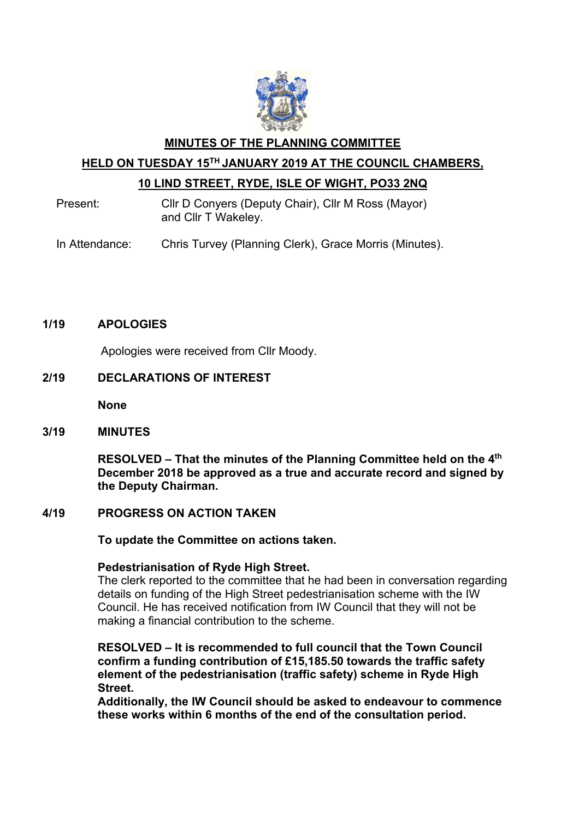

## **MINUTES OF THE PLANNING COMMITTEE HELD ON TUESDAY 15TH JANUARY 2019 AT THE COUNCIL CHAMBERS, 10 LIND STREET, RYDE, ISLE OF WIGHT, PO33 2NQ**

Present: Cllr D Conyers (Deputy Chair), Cllr M Ross (Mayor) and Cllr T Wakeley.

In Attendance: Chris Turvey (Planning Clerk), Grace Morris (Minutes).

## **1/19 APOLOGIES**

Apologies were received from Cllr Moody.

## **2/19 DECLARATIONS OF INTEREST**

**None**

## **3/19 MINUTES**

**RESOLVED – That the minutes of the Planning Committee held on the 4th December 2018 be approved as a true and accurate record and signed by the Deputy Chairman.** 

## **4/19 PROGRESS ON ACTION TAKEN**

 **To update the Committee on actions taken.** 

## **Pedestrianisation of Ryde High Street.**

The clerk reported to the committee that he had been in conversation regarding details on funding of the High Street pedestrianisation scheme with the IW Council. He has received notification from IW Council that they will not be making a financial contribution to the scheme.

**RESOLVED – It is recommended to full council that the Town Council confirm a funding contribution of £15,185.50 towards the traffic safety element of the pedestrianisation (traffic safety) scheme in Ryde High Street.**

**Additionally, the IW Council should be asked to endeavour to commence these works within 6 months of the end of the consultation period.**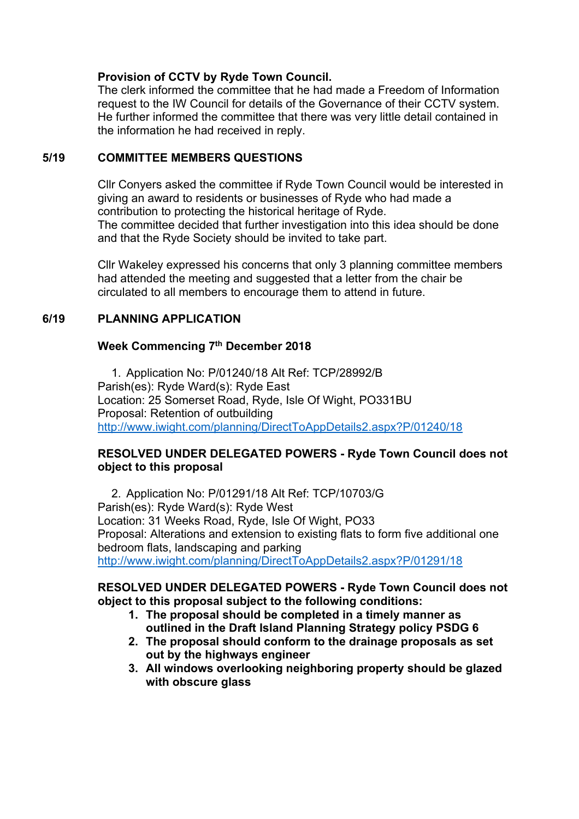## **Provision of CCTV by Ryde Town Council.**

The clerk informed the committee that he had made a Freedom of Information request to the IW Council for details of the Governance of their CCTV system. He further informed the committee that there was very little detail contained in the information he had received in reply.

## **5/19 COMMITTEE MEMBERS QUESTIONS**

Cllr Conyers asked the committee if Ryde Town Council would be interested in giving an award to residents or businesses of Ryde who had made a contribution to protecting the historical heritage of Ryde. The committee decided that further investigation into this idea should be done and that the Ryde Society should be invited to take part.

Cllr Wakeley expressed his concerns that only 3 planning committee members had attended the meeting and suggested that a letter from the chair be circulated to all members to encourage them to attend in future.

## **6/19 PLANNING APPLICATION**

## **Week Commencing 7th December 2018**

1. Application No: P/01240/18 Alt Ref: TCP/28992/B Parish(es): Ryde Ward(s): Ryde East Location: 25 Somerset Road, Ryde, Isle Of Wight, PO331BU Proposal: Retention of outbuilding http://www.iwight.com/planning/DirectToAppDetails2.aspx?P/01240/18

## **RESOLVED UNDER DELEGATED POWERS - Ryde Town Council does not object to this proposal**

2. Application No: P/01291/18 Alt Ref: TCP/10703/G Parish(es): Ryde Ward(s): Ryde West Location: 31 Weeks Road, Ryde, Isle Of Wight, PO33 Proposal: Alterations and extension to existing flats to form five additional one bedroom flats, landscaping and parking http://www.iwight.com/planning/DirectToAppDetails2.aspx?P/01291/18

## **RESOLVED UNDER DELEGATED POWERS - Ryde Town Council does not object to this proposal subject to the following conditions:**

- **1. The proposal should be completed in a timely manner as outlined in the Draft Island Planning Strategy policy PSDG 6**
- **2. The proposal should conform to the drainage proposals as set out by the highways engineer**
- **3. All windows overlooking neighboring property should be glazed with obscure glass**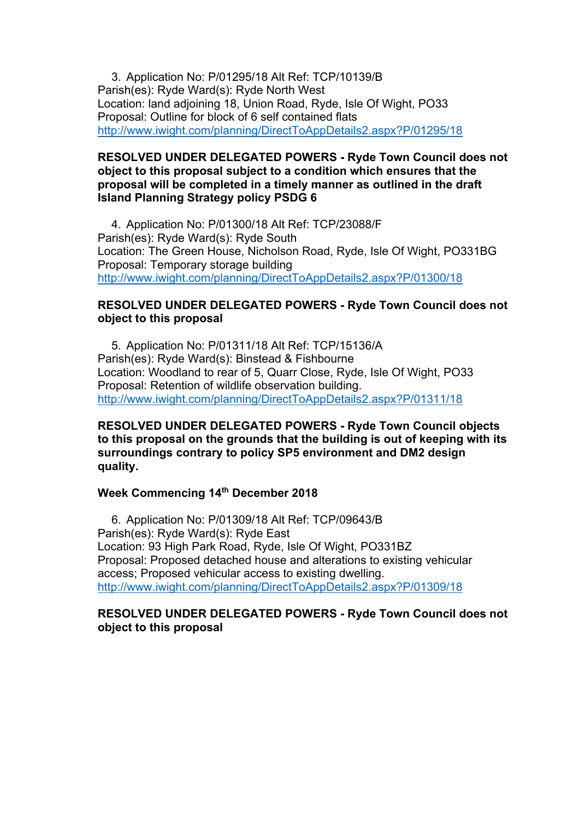3. Application No: P/01295/18 Alt Ref: TCP/10139/B Parish(es): Ryde Ward(s): Ryde North West Location: land adjoining 18, Union Road, Ryde, Isle Of Wight, PO33 Proposal: Outline for block of 6 self contained flats http://www.iwight.com/planning/DirectToAppDetails2.aspx?P/01295/18

## **RESOLVED UNDER DELEGATED POWERS - Ryde Town Council does not object to this proposal subject to a condition which ensures that the proposal will be completed in a timely manner as outlined in the draft Island Planning Strategy policy PSDG 6**

4. Application No: P/01300/18 Alt Ref: TCP/23088/F Parish(es): Ryde Ward(s): Ryde South Location: The Green House, Nicholson Road, Ryde, Isle Of Wight, PO331BG Proposal: Temporary storage building http://www.iwight.com/planning/DirectToAppDetails2.aspx?P/01300/18

## **RESOLVED UNDER DELEGATED POWERS - Ryde Town Council does not object to this proposal**

5. Application No: P/01311/18 Alt Ref: TCP/15136/A Parish(es): Ryde Ward(s): Binstead & Fishbourne Location: Woodland to rear of 5, Quarr Close, Ryde, Isle Of Wight, PO33 Proposal: Retention of wildlife observation building. http://www.iwight.com/planning/DirectToAppDetails2.aspx?P/01311/18

## **RESOLVED UNDER DELEGATED POWERS - Ryde Town Council objects to this proposal on the grounds that the building is out of keeping with its surroundings contrary to policy SP5 environment and DM2 design quality.**

## **Week Commencing 14th December 2018**

6. Application No: P/01309/18 Alt Ref: TCP/09643/B Parish(es): Ryde Ward(s): Ryde East Location: 93 High Park Road, Ryde, Isle Of Wight, PO331BZ Proposal: Proposed detached house and alterations to existing vehicular access; Proposed vehicular access to existing dwelling. http://www.iwight.com/planning/DirectToAppDetails2.aspx?P/01309/18

## **RESOLVED UNDER DELEGATED POWERS - Ryde Town Council does not object to this proposal**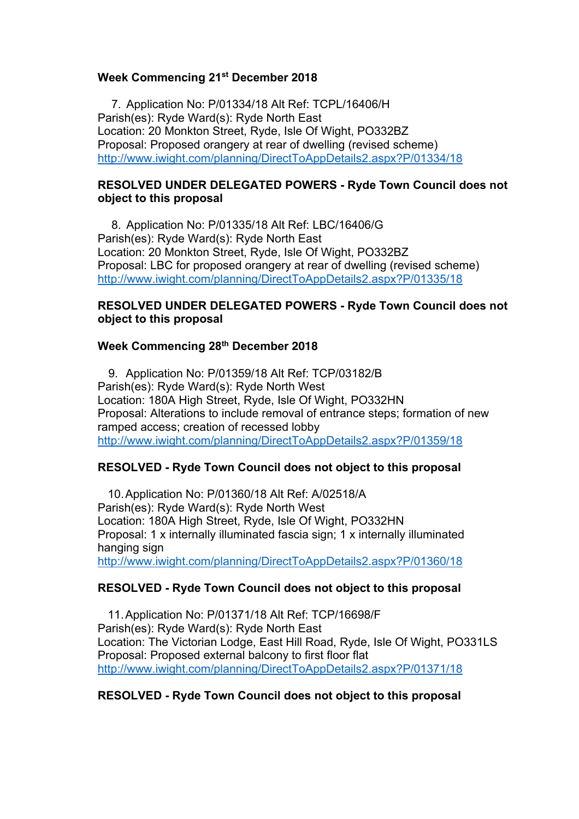## **Week Commencing 21st December 2018**

7. Application No: P/01334/18 Alt Ref: TCPL/16406/H Parish(es): Ryde Ward(s): Ryde North East Location: 20 Monkton Street, Ryde, Isle Of Wight, PO332BZ Proposal: Proposed orangery at rear of dwelling (revised scheme) http://www.iwight.com/planning/DirectToAppDetails2.aspx?P/01334/18

## **RESOLVED UNDER DELEGATED POWERS - Ryde Town Council does not object to this proposal**

8. Application No: P/01335/18 Alt Ref: LBC/16406/G Parish(es): Ryde Ward(s): Ryde North East Location: 20 Monkton Street, Ryde, Isle Of Wight, PO332BZ Proposal: LBC for proposed orangery at rear of dwelling (revised scheme) http://www.iwight.com/planning/DirectToAppDetails2.aspx?P/01335/18

## **RESOLVED UNDER DELEGATED POWERS - Ryde Town Council does not object to this proposal**

## **Week Commencing 28th December 2018**

9. Application No: P/01359/18 Alt Ref: TCP/03182/B Parish(es): Ryde Ward(s): Ryde North West Location: 180A High Street, Ryde, Isle Of Wight, PO332HN Proposal: Alterations to include removal of entrance steps; formation of new ramped access; creation of recessed lobby http://www.iwight.com/planning/DirectToAppDetails2.aspx?P/01359/18

## **RESOLVED - Ryde Town Council does not object to this proposal**

10.Application No: P/01360/18 Alt Ref: A/02518/A Parish(es): Ryde Ward(s): Ryde North West Location: 180A High Street, Ryde, Isle Of Wight, PO332HN Proposal: 1 x internally illuminated fascia sign; 1 x internally illuminated hanging sign http://www.iwight.com/planning/DirectToAppDetails2.aspx?P/01360/18

## **RESOLVED - Ryde Town Council does not object to this proposal**

11.Application No: P/01371/18 Alt Ref: TCP/16698/F Parish(es): Ryde Ward(s): Ryde North East Location: The Victorian Lodge, East Hill Road, Ryde, Isle Of Wight, PO331LS Proposal: Proposed external balcony to first floor flat http://www.iwight.com/planning/DirectToAppDetails2.aspx?P/01371/18

## **RESOLVED - Ryde Town Council does not object to this proposal**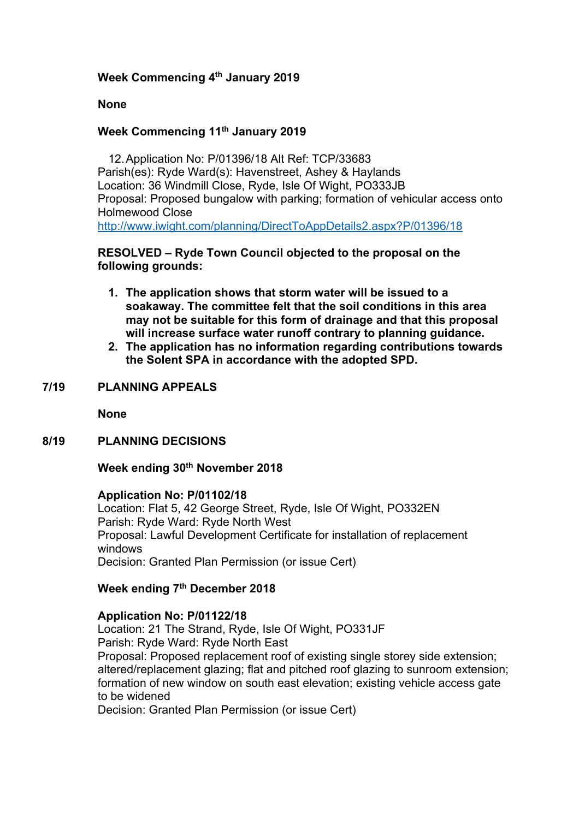## **Week Commencing 4th January 2019**

## **None**

## **Week Commencing 11th January 2019**

12.Application No: P/01396/18 Alt Ref: TCP/33683 Parish(es): Ryde Ward(s): Havenstreet, Ashey & Haylands Location: 36 Windmill Close, Ryde, Isle Of Wight, PO333JB Proposal: Proposed bungalow with parking; formation of vehicular access onto Holmewood Close http://www.iwight.com/planning/DirectToAppDetails2.aspx?P/01396/18

## **RESOLVED – Ryde Town Council objected to the proposal on the following grounds:**

- **1. The application shows that storm water will be issued to a soakaway. The committee felt that the soil conditions in this area may not be suitable for this form of drainage and that this proposal will increase surface water runoff contrary to planning guidance.**
- **2. The application has no information regarding contributions towards the Solent SPA in accordance with the adopted SPD.**

## **7/19 PLANNING APPEALS**

**None**

## **8/19 PLANNING DECISIONS**

## **Week ending 30th November 2018**

#### **Application No: P/01102/18**

Location: Flat 5, 42 George Street, Ryde, Isle Of Wight, PO332EN Parish: Ryde Ward: Ryde North West Proposal: Lawful Development Certificate for installation of replacement windows Decision: Granted Plan Permission (or issue Cert)

## **Week ending 7th December 2018**

## **Application No: P/01122/18**

Location: 21 The Strand, Ryde, Isle Of Wight, PO331JF Parish: Ryde Ward: Ryde North East Proposal: Proposed replacement roof of existing single storey side extension; altered/replacement glazing; flat and pitched roof glazing to sunroom extension; formation of new window on south east elevation; existing vehicle access gate to be widened

Decision: Granted Plan Permission (or issue Cert)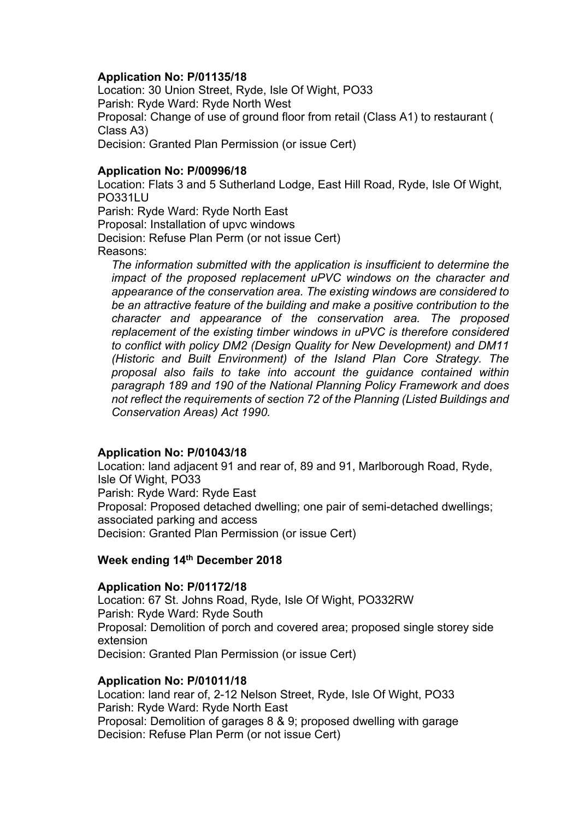## **Application No: P/01135/18**

Location: 30 Union Street, Ryde, Isle Of Wight, PO33 Parish: Ryde Ward: Ryde North West Proposal: Change of use of ground floor from retail (Class A1) to restaurant ( Class A3) Decision: Granted Plan Permission (or issue Cert)

#### **Application No: P/00996/18**

Location: Flats 3 and 5 Sutherland Lodge, East Hill Road, Ryde, Isle Of Wight, PO331LU Parish: Ryde Ward: Ryde North East Proposal: Installation of upvc windows Decision: Refuse Plan Perm (or not issue Cert) Reasons:

*The information submitted with the application is insufficient to determine the impact of the proposed replacement uPVC windows on the character and appearance of the conservation area. The existing windows are considered to be an attractive feature of the building and make a positive contribution to the character and appearance of the conservation area. The proposed replacement of the existing timber windows in uPVC is therefore considered to conflict with policy DM2 (Design Quality for New Development) and DM11 (Historic and Built Environment) of the Island Plan Core Strategy. The proposal also fails to take into account the guidance contained within paragraph 189 and 190 of the National Planning Policy Framework and does not reflect the requirements of section 72 of the Planning (Listed Buildings and Conservation Areas) Act 1990.*

## **Application No: P/01043/18**

Location: land adjacent 91 and rear of, 89 and 91, Marlborough Road, Ryde, Isle Of Wight, PO33 Parish: Ryde Ward: Ryde East Proposal: Proposed detached dwelling; one pair of semi-detached dwellings; associated parking and access Decision: Granted Plan Permission (or issue Cert)

## **Week ending 14th December 2018**

#### **Application No: P/01172/18**

Location: 67 St. Johns Road, Ryde, Isle Of Wight, PO332RW Parish: Ryde Ward: Ryde South Proposal: Demolition of porch and covered area; proposed single storey side extension Decision: Granted Plan Permission (or issue Cert)

#### **Application No: P/01011/18**

Location: land rear of, 2-12 Nelson Street, Ryde, Isle Of Wight, PO33 Parish: Ryde Ward: Ryde North East Proposal: Demolition of garages 8 & 9; proposed dwelling with garage Decision: Refuse Plan Perm (or not issue Cert)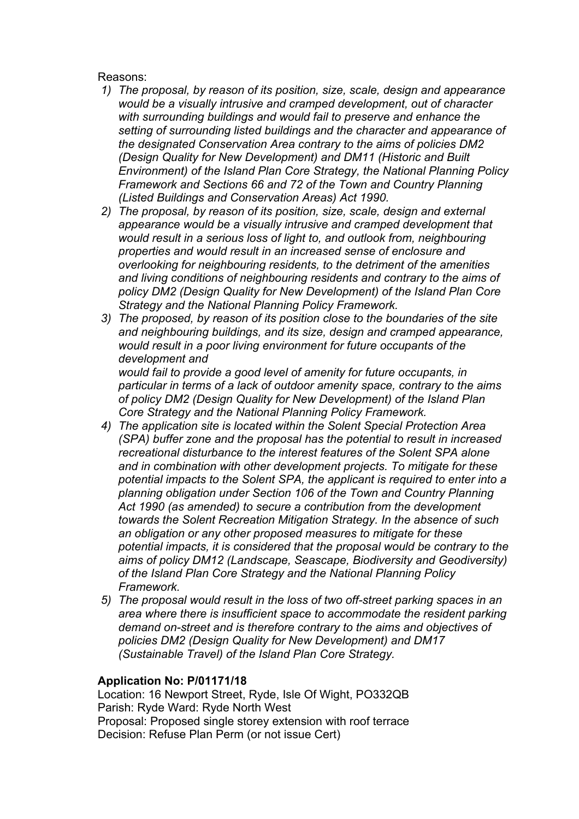## Reasons:

- *1) The proposal, by reason of its position, size, scale, design and appearance would be a visually intrusive and cramped development, out of character with surrounding buildings and would fail to preserve and enhance the setting of surrounding listed buildings and the character and appearance of the designated Conservation Area contrary to the aims of policies DM2 (Design Quality for New Development) and DM11 (Historic and Built Environment) of the Island Plan Core Strategy, the National Planning Policy Framework and Sections 66 and 72 of the Town and Country Planning (Listed Buildings and Conservation Areas) Act 1990.*
- *2) The proposal, by reason of its position, size, scale, design and external appearance would be a visually intrusive and cramped development that would result in a serious loss of light to, and outlook from, neighbouring properties and would result in an increased sense of enclosure and overlooking for neighbouring residents, to the detriment of the amenities and living conditions of neighbouring residents and contrary to the aims of policy DM2 (Design Quality for New Development) of the Island Plan Core Strategy and the National Planning Policy Framework.*
- *3) The proposed, by reason of its position close to the boundaries of the site and neighbouring buildings, and its size, design and cramped appearance, would result in a poor living environment for future occupants of the development and*

*would fail to provide a good level of amenity for future occupants, in particular in terms of a lack of outdoor amenity space, contrary to the aims of policy DM2 (Design Quality for New Development) of the Island Plan Core Strategy and the National Planning Policy Framework.*

- *4) The application site is located within the Solent Special Protection Area (SPA) buffer zone and the proposal has the potential to result in increased recreational disturbance to the interest features of the Solent SPA alone and in combination with other development projects. To mitigate for these potential impacts to the Solent SPA, the applicant is required to enter into a planning obligation under Section 106 of the Town and Country Planning Act 1990 (as amended) to secure a contribution from the development towards the Solent Recreation Mitigation Strategy. In the absence of such an obligation or any other proposed measures to mitigate for these potential impacts, it is considered that the proposal would be contrary to the aims of policy DM12 (Landscape, Seascape, Biodiversity and Geodiversity) of the Island Plan Core Strategy and the National Planning Policy Framework.*
- *5) The proposal would result in the loss of two off-street parking spaces in an area where there is insufficient space to accommodate the resident parking demand on-street and is therefore contrary to the aims and objectives of policies DM2 (Design Quality for New Development) and DM17 (Sustainable Travel) of the Island Plan Core Strategy.*

## **Application No: P/01171/18**

Location: 16 Newport Street, Ryde, Isle Of Wight, PO332QB Parish: Ryde Ward: Ryde North West Proposal: Proposed single storey extension with roof terrace Decision: Refuse Plan Perm (or not issue Cert)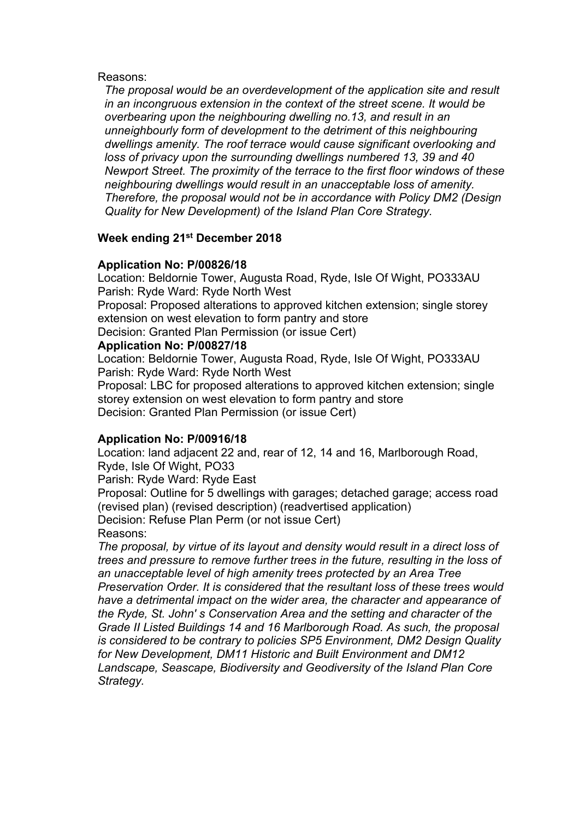#### Reasons:

*The proposal would be an overdevelopment of the application site and result in an incongruous extension in the context of the street scene. It would be overbearing upon the neighbouring dwelling no.13, and result in an unneighbourly form of development to the detriment of this neighbouring dwellings amenity. The roof terrace would cause significant overlooking and loss of privacy upon the surrounding dwellings numbered 13, 39 and 40 Newport Street. The proximity of the terrace to the first floor windows of these neighbouring dwellings would result in an unacceptable loss of amenity. Therefore, the proposal would not be in accordance with Policy DM2 (Design Quality for New Development) of the Island Plan Core Strategy.*

## **Week ending 21st December 2018**

## **Application No: P/00826/18**

Location: Beldornie Tower, Augusta Road, Ryde, Isle Of Wight, PO333AU Parish: Ryde Ward: Ryde North West

Proposal: Proposed alterations to approved kitchen extension; single storey extension on west elevation to form pantry and store

Decision: Granted Plan Permission (or issue Cert)

## **Application No: P/00827/18**

Location: Beldornie Tower, Augusta Road, Ryde, Isle Of Wight, PO333AU Parish: Ryde Ward: Ryde North West

Proposal: LBC for proposed alterations to approved kitchen extension; single storey extension on west elevation to form pantry and store Decision: Granted Plan Permission (or issue Cert)

## **Application No: P/00916/18**

Location: land adjacent 22 and, rear of 12, 14 and 16, Marlborough Road, Ryde, Isle Of Wight, PO33

Parish: Ryde Ward: Ryde East

Proposal: Outline for 5 dwellings with garages; detached garage; access road (revised plan) (revised description) (readvertised application) Decision: Refuse Plan Perm (or not issue Cert) Reasons:

*The proposal, by virtue of its layout and density would result in a direct loss of trees and pressure to remove further trees in the future, resulting in the loss of an unacceptable level of high amenity trees protected by an Area Tree Preservation Order. It is considered that the resultant loss of these trees would have a detrimental impact on the wider area, the character and appearance of the Ryde, St. John' s Conservation Area and the setting and character of the Grade II Listed Buildings 14 and 16 Marlborough Road. As such, the proposal is considered to be contrary to policies SP5 Environment, DM2 Design Quality for New Development, DM11 Historic and Built Environment and DM12 Landscape, Seascape, Biodiversity and Geodiversity of the Island Plan Core Strategy.*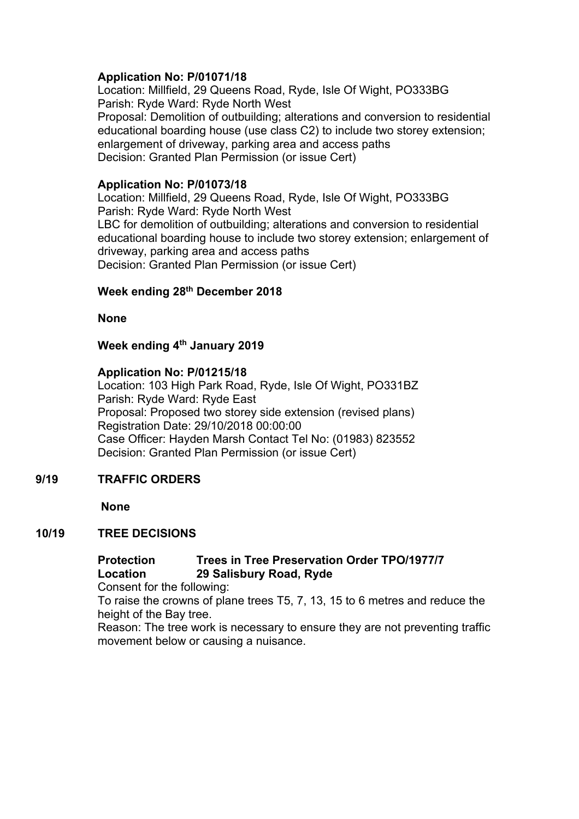## **Application No: P/01071/18**

Location: Millfield, 29 Queens Road, Ryde, Isle Of Wight, PO333BG Parish: Ryde Ward: Ryde North West Proposal: Demolition of outbuilding; alterations and conversion to residential educational boarding house (use class C2) to include two storey extension; enlargement of driveway, parking area and access paths Decision: Granted Plan Permission (or issue Cert)

## **Application No: P/01073/18**

Location: Millfield, 29 Queens Road, Ryde, Isle Of Wight, PO333BG Parish: Ryde Ward: Ryde North West LBC for demolition of outbuilding; alterations and conversion to residential educational boarding house to include two storey extension; enlargement of driveway, parking area and access paths Decision: Granted Plan Permission (or issue Cert)

## **Week ending 28th December 2018**

**None**

## **Week ending 4th January 2019**

## **Application No: P/01215/18**

Location: 103 High Park Road, Ryde, Isle Of Wight, PO331BZ Parish: Ryde Ward: Ryde East Proposal: Proposed two storey side extension (revised plans) Registration Date: 29/10/2018 00:00:00 Case Officer: Hayden Marsh Contact Tel No: (01983) 823552 Decision: Granted Plan Permission (or issue Cert)

## **9/19 TRAFFIC ORDERS**

**None**

## **10/19 TREE DECISIONS**

## **Protection Trees in Tree Preservation Order TPO/1977/7 Location 29 Salisbury Road, Ryde**

Consent for the following:

To raise the crowns of plane trees T5, 7, 13, 15 to 6 metres and reduce the height of the Bay tree.

Reason: The tree work is necessary to ensure they are not preventing traffic movement below or causing a nuisance.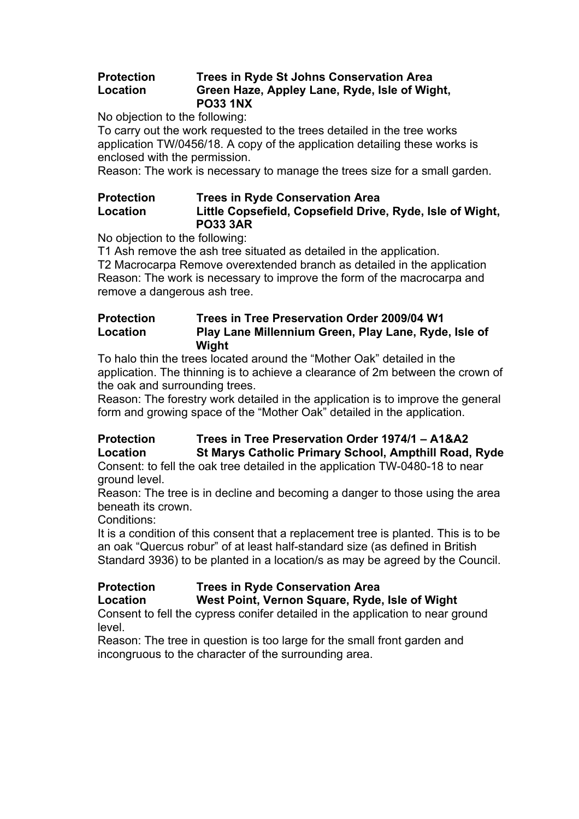## **Protection Trees in Ryde St Johns Conservation Area Location Green Haze, Appley Lane, Ryde, Isle of Wight, PO33 1NX**

No objection to the following:

To carry out the work requested to the trees detailed in the tree works application TW/0456/18. A copy of the application detailing these works is enclosed with the permission.

Reason: The work is necessary to manage the trees size for a small garden.

## **Protection Trees in Ryde Conservation Area Location Little Copsefield, Copsefield Drive, Ryde, Isle of Wight, PO33 3AR**

No objection to the following:

T1 Ash remove the ash tree situated as detailed in the application.

T2 Macrocarpa Remove overextended branch as detailed in the application Reason: The work is necessary to improve the form of the macrocarpa and remove a dangerous ash tree.

## **Protection Trees in Tree Preservation Order 2009/04 W1 Location Play Lane Millennium Green, Play Lane, Ryde, Isle of Wight**

To halo thin the trees located around the "Mother Oak" detailed in the application. The thinning is to achieve a clearance of 2m between the crown of the oak and surrounding trees.

Reason: The forestry work detailed in the application is to improve the general form and growing space of the "Mother Oak" detailed in the application.

## **Protection Trees in Tree Preservation Order 1974/1 – A1&A2 Location St Marys Catholic Primary School, Ampthill Road, Ryde**

Consent: to fell the oak tree detailed in the application TW-0480-18 to near ground level.

Reason: The tree is in decline and becoming a danger to those using the area beneath its crown.

Conditions:

It is a condition of this consent that a replacement tree is planted. This is to be an oak "Quercus robur" of at least half-standard size (as defined in British Standard 3936) to be planted in a location/s as may be agreed by the Council.

## **Protection Trees in Ryde Conservation Area**

**Location West Point, Vernon Square, Ryde, Isle of Wight**

Consent to fell the cypress conifer detailed in the application to near ground level.

Reason: The tree in question is too large for the small front garden and incongruous to the character of the surrounding area.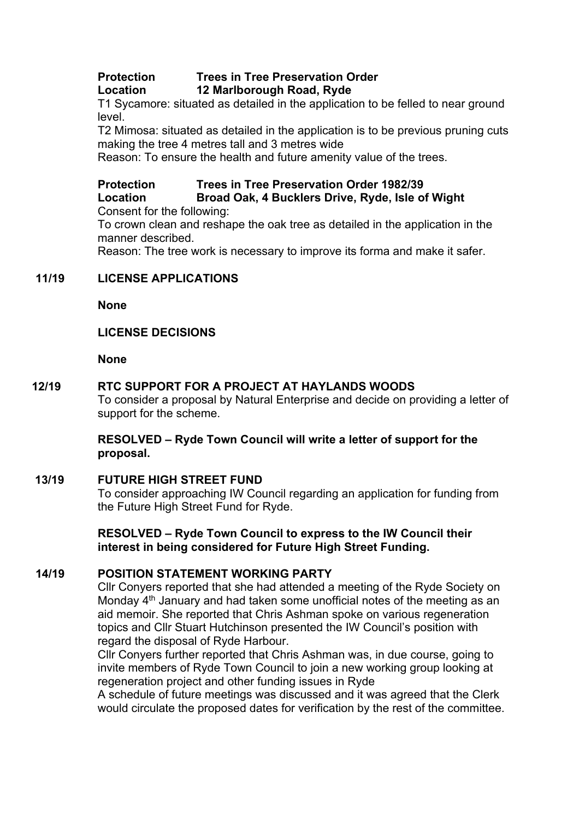## **Protection Trees in Tree Preservation Order Location 12 Marlborough Road, Ryde**

T1 Sycamore: situated as detailed in the application to be felled to near ground level.

T2 Mimosa: situated as detailed in the application is to be previous pruning cuts making the tree 4 metres tall and 3 metres wide

Reason: To ensure the health and future amenity value of the trees.

# **Protection Trees in Tree Preservation Order 1982/39**

**Location Broad Oak, 4 Bucklers Drive, Ryde, Isle of Wight** Consent for the following:

To crown clean and reshape the oak tree as detailed in the application in the manner described.

Reason: The tree work is necessary to improve its forma and make it safer.

## **11/19 LICENSE APPLICATIONS**

**None**

## **LICENSE DECISIONS**

**None**

## **12/19 RTC SUPPORT FOR A PROJECT AT HAYLANDS WOODS**

To consider a proposal by Natural Enterprise and decide on providing a letter of support for the scheme.

#### **RESOLVED – Ryde Town Council will write a letter of support for the proposal.**

## **13/19 FUTURE HIGH STREET FUND**

To consider approaching IW Council regarding an application for funding from the Future High Street Fund for Ryde.

**RESOLVED – Ryde Town Council to express to the IW Council their interest in being considered for Future High Street Funding.**

## **14/19 POSITION STATEMENT WORKING PARTY**

Cllr Conyers reported that she had attended a meeting of the Ryde Society on Monday  $4<sup>th</sup>$  January and had taken some unofficial notes of the meeting as an aid memoir. She reported that Chris Ashman spoke on various regeneration topics and Cllr Stuart Hutchinson presented the IW Council's position with regard the disposal of Ryde Harbour.

Cllr Conyers further reported that Chris Ashman was, in due course, going to invite members of Ryde Town Council to join a new working group looking at regeneration project and other funding issues in Ryde

A schedule of future meetings was discussed and it was agreed that the Clerk would circulate the proposed dates for verification by the rest of the committee.